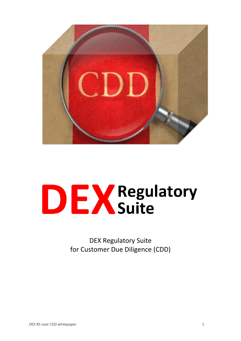

# **DEX** Regulatory

DEX Regulatory Suite for Customer Due Diligence (CDD)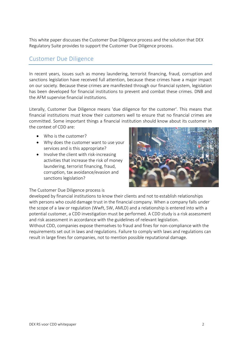This white paper discusses the Customer Due Diligence process and the solution that DEX Regulatory Suite provides to support the Customer Due Diligence process.

## Customer Due Diligence

In recent years, issues such as money laundering, terrorist financing, fraud, corruption and sanctions legislation have received full attention, because these crimes have a major impact on our society. Because these crimes are manifested through our financial system, legislation has been developed for financial institutions to prevent and combat these crimes. DNB and the AFM supervise financial institutions.

Literally, Customer Due Diligence means 'due diligence for the customer'. This means that financial institutions must know their customers well to ensure that no financial crimes are committed. Some important things a financial institution should know about its customer in the context of CDD are:

- Who is the customer?
- Why does the customer want to use your services and is this appropriate?
- Involve the client with risk-increasing activities that increase the risk of money laundering, terrorist financing, fraud, corruption, tax avoidance/evasion and sanctions legislation?



The Customer Due Diligence process is

developed by financial institutions to know their clients and not to establish relationships with persons who could damage trust in the financial company. When a company falls under the scope of a law or regulation (Wwft, SW, AMLD) and a relationship is entered into with a potential customer, a CDD investigation must be performed. A CDD study is a risk assessment and risk assessment in accordance with the guidelines of relevant legislation.

Without CDD, companies expose themselves to fraud and fines for non-compliance with the requirements set out in laws and regulations. Failure to comply with laws and regulations can result in large fines for companies, not to mention possible reputational damage.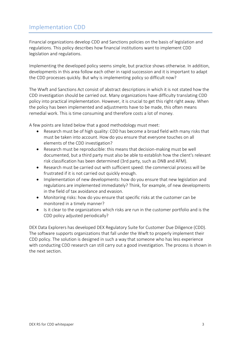## Implementation CDD

Financial organizations develop CDD and Sanctions policies on the basis of legislation and regulations. This policy describes how financial institutions want to implement CDD legislation and regulations.

Implementing the developed policy seems simple, but practice shows otherwise. In addition, developments in this area follow each other in rapid succession and it is important to adapt the CDD processes quickly. But why is implementing policy so difficult now?

The Wwft and Sanctions Act consist of abstract descriptions in which it is not stated how the CDD investigation should be carried out. Many organizations have difficulty translating CDD policy into practical implementation. However, it is crucial to get this right right away. When the policy has been implemented and adjustments have to be made, this often means remedial work. This is time consuming and therefore costs a lot of money.

A few points are listed below that a good methodology must meet:

- Research must be of high quality: CDD has become a broad field with many risks that must be taken into account. How do you ensure that everyone touches on all elements of the CDD investigation?
- Research must be reproducible: this means that decision-making must be well documented, but a third party must also be able to establish how the client's relevant risk classification has been determined (3rd party, such as DNB and AFM).
- Research must be carried out with sufficient speed: the commercial process will be frustrated if it is not carried out quickly enough.
- Implementation of new developments: how do you ensure that new legislation and regulations are implemented immediately? Think, for example, of new developments in the field of tax avoidance and evasion.
- Monitoring risks: how do you ensure that specific risks at the customer can be monitored in a timely manner?
- Is it clear to the organizations which risks are run in the customer portfolio and is the CDD policy adjusted periodically?

DEX Data Explorers has developed DEX Regulatory Suite for Customer Due Diligence (CDD). The software supports organizations that fall under the Wwft to properly implement their CDD policy. The solution is designed in such a way that someone who has less experience with conducting CDD research can still carry out a good investigation. The process is shown in the next section.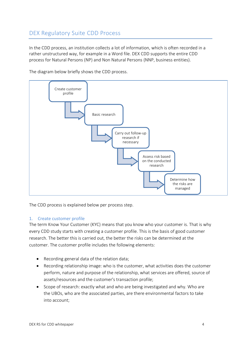# DEX Regulatory Suite CDD Process

In the CDD process, an institution collects a lot of information, which is often recorded in a rather unstructured way, for example in a Word file. DEX CDD supports the entire CDD process for Natural Persons (NP) and Non Natural Persons (NNP, business entities).



The diagram below briefly shows the CDD process.

The CDD process is explained below per process step.

#### 1. Create customer profile

The term Know Your Customer (KYC) means that you know who your customer is. That is why every CDD study starts with creating a customer profile. This is the basis of good customer research. The better this is carried out, the better the risks can be determined at the customer. The customer profile includes the following elements:

- Recording general data of the relation data;
- Recording relationship image: who is the customer, what activities does the customer perform, nature and purpose of the relationship, what services are offered, source of assets/resources and the customer's transaction profile;
- Scope of research: exactly what and who are being investigated and why. Who are the UBOs, who are the associated parties, are there environmental factors to take into account;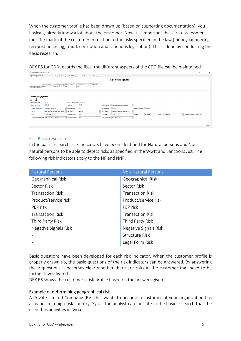When the customer profile has been drawn up (based on supporting documentation), you basically already know a lot about the customer. Now it is important that a risk assessment must be made of the customer in relation to the risks specified in the law (money laundering, terrorist financing, fraud, corruption and sanctions legislation). This is done by conducting the basic research.

| <b>DIX</b> Procesflow: D0111 2021-03-31 |               |                       |                                                |                                                          |                         |                                                                                                                     |                     |                                                                   |                          |          |                |                                  | <b>COLLECTION</b> | $\Box$ | $\mathsf{X}$ |
|-----------------------------------------|---------------|-----------------------|------------------------------------------------|----------------------------------------------------------|-------------------------|---------------------------------------------------------------------------------------------------------------------|---------------------|-------------------------------------------------------------------|--------------------------|----------|----------------|----------------------------------|-------------------|--------|--------------|
|                                         |               |                       |                                                |                                                          |                         | Algemene gegevens Management samenvatting Beschrijving relatiebeeld Scope onderzoek Basisonderzoek Vervolgonderzoek |                     |                                                                   |                          |          |                |                                  |                   |        | $\sim$       |
|                                         |               |                       |                                                |                                                          |                         |                                                                                                                     |                     | <b>Algemene gegevens</b>                                          |                          |          |                |                                  |                   |        |              |
|                                         | <b>D</b> 0111 | Dossiemummer          | Datum rapportage Naam adviseur<br>2021-03-31   | Billand                                                  | ID organisatie<br>10111 | Type onderzoek<br>Acceptatie                                                                                        |                     |                                                                   |                          |          |                |                                  |                   |        |              |
| D0111 2021-03-31                        |               |                       |                                                |                                                          |                         |                                                                                                                     |                     |                                                                   |                          |          |                |                                  |                   |        |              |
|                                         |               |                       |                                                |                                                          |                         |                                                                                                                     |                     |                                                                   |                          |          |                |                                  |                   |        |              |
| <b>Algemene gegevens</b>                |               |                       |                                                |                                                          |                         |                                                                                                                     |                     |                                                                   |                          |          |                |                                  |                   |        |              |
| $+1$                                    |               |                       |                                                |                                                          |                         |                                                                                                                     |                     |                                                                   |                          |          |                |                                  |                   |        |              |
| Dossiernummer                           |               | D0111                 |                                                | Datum rapportage 2021-03-31                              |                         |                                                                                                                     |                     |                                                                   |                          |          |                |                                  |                   |        |              |
| Naam adviseur                           |               | Billand               |                                                | Afdeling                                                 | A0111                   |                                                                                                                     |                     | $\overline{\vee}$<br>Acceptatie door REL-Relatieverantwoordelijke |                          |          |                |                                  |                   |        |              |
| <b>Type ID organisatie</b>              |               | <b>BSN-BSN-nummer</b> |                                                | $\sim$ ID organisatie                                    | 10111                   |                                                                                                                     | Handelsnaam         | Carlwood                                                          | Juridische naam Westside |          |                |                                  |                   |        |              |
| Sector                                  |               |                       | BAR-Bardancings en clubs, Hotels, v Rechtsvorm |                                                          | <b>BVE-BV</b>           |                                                                                                                     | $\vee$ Aard relatie | VER-(Incidentele) verkooptransact v                               |                          |          |                |                                  |                   |        |              |
| Straat                                  |               | Casa Verde Dr         |                                                | Huisnummer                                               | 599                     |                                                                                                                     | Postcode            | 2723L                                                             | Plaats                   | Seabrook | Land KW-KUWAIT | $\sim$ Telefoonnummer 4395764101 |                   |        |              |
| Type ID moederbedrijf                   |               |                       |                                                | $BIN-Buitenlands identificationumr \vee 1D modechedriff$ | 10111                   |                                                                                                                     |                     | $\backsim$<br>Type onderzoek ACC-Acceptatie                       |                          |          |                |                                  |                   |        |              |
|                                         |               |                       |                                                |                                                          |                         |                                                                                                                     |                     |                                                                   |                          |          |                |                                  |                   |        |              |
|                                         |               |                       |                                                |                                                          |                         |                                                                                                                     |                     |                                                                   |                          |          |                |                                  |                   |        | Close        |
|                                         |               |                       |                                                |                                                          |                         |                                                                                                                     |                     |                                                                   |                          |          |                |                                  |                   |        |              |

DEX RS for CDD records the files, the different aspects of the CDD file can be maintained.

#### 2. Basic research

In the basic research, risk indicators have been identified for Natural persons and Nonnatural persons to be able to detect risks as specified in the Wwft and Sanctions Act. The following risk indicators apply to the NP and NNP.

| <b>Natural Persons</b>  | <b>Non-Natural Persons</b> |
|-------------------------|----------------------------|
| Geographical Risk       | Geographical Risk          |
| Sector Risk             | Sector Risk                |
| <b>Transaction Risk</b> | <b>Transaction Risk</b>    |
| Product/service risk    | Product/service risk       |
| PEP risk                | PEP risk                   |
| <b>Transaction Risk</b> | <b>Transaction Risk</b>    |
| Third Party Risk        | Third Party Risk           |
| Negative Signals Risk   | Negative Signals Risk      |
|                         | <b>Structure Risk</b>      |
|                         | Legal Form Risk            |

Basic questions have been developed for each risk indicator. When the customer profile is properly drawn up, the basic questions of the risk indicators can be answered. By answering these questions it becomes clear whether there are risks at the customer that need to be further investigated.

DEX RS shows the customer's risk profile based on the answers given.

#### Example of determining geographical risk

A Private Limited Company (BV) that wants to become a customer of your organization has activities in a high-risk country, Syria. The analyst can indicate in the basic research that the client has activities in Syria.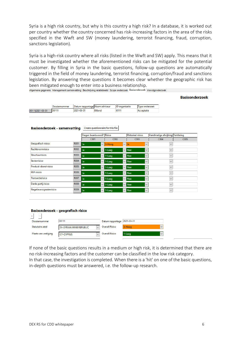Syria is a high risk country, but why is this country a high risk? In a database, it is worked out per country whether the country concerned has risk-increasing factors in the area of the risks specified in the Wwft and SW (money laundering, terrorist financing, fraud, corruption, sanctions legislation).

Syria is a high-risk country where all risks (listed in the Wwft and SW) apply. This means that it must be investigated whether the aforementioned risks can be mitigated for the potential customer. By filling in Syria in the basic questions, follow-up questions are automatically triggered in the field of money laundering, terrorist financing, corruption/fraud and sanctions legislation. By answering these questions it becomes clear whether the geographic risk has been mitigated enough to enter into a business relationship.<br>Algemene gegevens Management samenvatting Beschrijving relatiebeeld Scope onderzoek Basisonderzoek Vervolgonderzoek

**Basisonderzoek** 

|                  | Dossiernummer | Datum rapportage Naam adviseur |         | <b>ID</b> organisatie | Type onderzoek |
|------------------|---------------|--------------------------------|---------|-----------------------|----------------|
| D0111I2021-03-31 | <b>ID0111</b> | 2021-03-31                     | Billand | 10111                 | Acceptatie     |

#### **Basisonderzoek - samenvatting** Create questionnaire for this file

|                          |             |      | Vragen beantwoord? Risico |                        | Materieel risico |                            | Handmatige afwijking Verklaring |      |
|--------------------------|-------------|------|---------------------------|------------------------|------------------|----------------------------|---------------------------------|------|
|                          |             | C001 |                           |                        | C002             |                            | C004                            | C005 |
| Geografisch risico       | R001        | Ja   |                           | $\sqrt{3}$ -Hoog       | $\vee$ Ja        | $\checkmark$               |                                 |      |
| Rechtsvormrisico         | R002        | Ja   |                           | $\vee$ 1-Laag          | $\checkmark$     | Nee<br>$\checkmark$        | $\checkmark$                    |      |
| Structuurrisico          | R003        | Ja   |                           | $\vert$ $\vert$ 1-Laag |                  | $\vee$ Nee<br>$\checkmark$ | $\checkmark$                    |      |
| Sectorrisico             | <b>R004</b> | Ja   |                           | $\sqrt{1-Laaq}$        | $\checkmark$     | <b>Nee</b><br>$\checkmark$ | $\checkmark$                    |      |
| Product-dienst risico    | <b>R005</b> | Ja   |                           | $\vee$ 1-Laag          | $\checkmark$     | Nee<br>$\checkmark$        | $\checkmark$                    |      |
| PEP-risico               | <b>R006</b> | Ja   |                           | $\sqrt{1-Laaq}$        | $\checkmark$     | <b>Nee</b><br>$\checkmark$ | $\checkmark$                    |      |
| Transactierisico         | <b>R007</b> | Ja   |                           | $\vee$ 1-Laag          | $\checkmark$     | Nee<br>$\checkmark$        | $\checkmark$                    |      |
| Derde partij risico      | <b>R008</b> | Ja   |                           | $\vee$ 1-Laag          | $\checkmark$     | <b>Nee</b><br>$\checkmark$ | $\checkmark$                    |      |
| Negatieve signalenrisico | R009        | Ja   | $\checkmark$              | $1$ -Laag              |                  | <b>Nee</b><br>$\checkmark$ | $\checkmark$                    |      |

|                      | Basisonderzoek - geografisch risico |                             |                        |  |  |  |  |  |  |  |  |
|----------------------|-------------------------------------|-----------------------------|------------------------|--|--|--|--|--|--|--|--|
| $+$                  |                                     |                             |                        |  |  |  |  |  |  |  |  |
| Dossiernummer        | D0111                               | Datum rapportage 2021-03-31 |                        |  |  |  |  |  |  |  |  |
| Statutaire zetel     | SY-SYRIAN ARAB REPUBLIC             | <b>Overall Risico</b>       | 3-Hoog<br>$\checkmark$ |  |  |  |  |  |  |  |  |
| Plaats van vestiging | <b>CY-CYPRUS</b>                    | <b>Overall Risico</b>       | 1-Laag<br>$\checkmark$ |  |  |  |  |  |  |  |  |
|                      |                                     |                             |                        |  |  |  |  |  |  |  |  |

If none of the basic questions results in a medium or high risk, it is determined that there are no risk-increasing factors and the customer can be classified in the low risk category. In that case, the investigation is completed. When there is a 'hit' on one of the basic questions, in-depth questions must be answered, i.e. the follow-up research.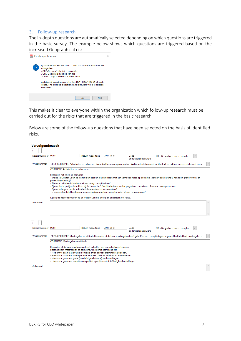#### 3. Follow-up research

The in-depth questions are automatically selected depending on which questions are triggered in the basic survey. The example below shows which questions are triggered based on the increased Geographical risk.



This makes it clear to everyone within the organization which follow-up research must be carried out for the risks that are triggered in the basic research.

Below are some of the follow-up questions that have been selected on the basis of identified risks.

| Vervolgonderzoek |                                                                                                                                                                                                  |                  |            |                             |                                                                                                                                                    |  |  |  |  |  |  |  |
|------------------|--------------------------------------------------------------------------------------------------------------------------------------------------------------------------------------------------|------------------|------------|-----------------------------|----------------------------------------------------------------------------------------------------------------------------------------------------|--|--|--|--|--|--|--|
|                  |                                                                                                                                                                                                  |                  |            |                             |                                                                                                                                                    |  |  |  |  |  |  |  |
| Dossiernummer    | D0111                                                                                                                                                                                            | Datum rapportage | 2021-03-31 | Code                        | GRC-Geografisch risico corruptie                                                                                                                   |  |  |  |  |  |  |  |
|                  |                                                                                                                                                                                                  |                  |            | onderzoeksonderwerp         |                                                                                                                                                    |  |  |  |  |  |  |  |
| Vraagnummer      | GRC1-CORRUPTIE, Activiteiten en netwerken Beoordeel het risico op corruptie: - Welke activiteiten voert de klant uit en hebben die een relatie met een v                                         |                  |            |                             |                                                                                                                                                    |  |  |  |  |  |  |  |
|                  | CORRUPTIE, Activiteiten en netwerken                                                                                                                                                             |                  |            |                             |                                                                                                                                                    |  |  |  |  |  |  |  |
|                  | Beoordeel het risico op corruptie:                                                                                                                                                               |                  |            |                             |                                                                                                                                                    |  |  |  |  |  |  |  |
|                  | - Welke activiteiten voert de klant uit en hebben die een relatie met een verhoogd risico op corruptie (denk by aan defensie, handel in grondstoffen, of                                         |                  |            |                             |                                                                                                                                                    |  |  |  |  |  |  |  |
|                  | projectfinanciering)?<br>Zijn er activiteiten in landen met een hoog corruptie risico?                                                                                                           |                  |            |                             |                                                                                                                                                    |  |  |  |  |  |  |  |
|                  | Zijn er derde partijen betrokken bij de transacties? (bv distributeurs, verkoopagenten, consultants of andere tussenpersonen)<br>Zijn er belangen van de individuele bestuurders en medewerkers? |                  |            |                             |                                                                                                                                                    |  |  |  |  |  |  |  |
|                  | ls er een afhankelijkheid van grote overheidscontracten voor inkomsten of van vergunningen?                                                                                                      |                  |            |                             |                                                                                                                                                    |  |  |  |  |  |  |  |
|                  | Kijk bij de beoordeling ook op de website van het bedrijf en onderzoek het risico.                                                                                                               |                  |            |                             |                                                                                                                                                    |  |  |  |  |  |  |  |
| Antwoord         |                                                                                                                                                                                                  |                  |            |                             |                                                                                                                                                    |  |  |  |  |  |  |  |
|                  |                                                                                                                                                                                                  |                  |            |                             |                                                                                                                                                    |  |  |  |  |  |  |  |
|                  |                                                                                                                                                                                                  |                  |            |                             |                                                                                                                                                    |  |  |  |  |  |  |  |
|                  |                                                                                                                                                                                                  |                  |            |                             |                                                                                                                                                    |  |  |  |  |  |  |  |
|                  |                                                                                                                                                                                                  |                  |            |                             |                                                                                                                                                    |  |  |  |  |  |  |  |
|                  |                                                                                                                                                                                                  |                  |            |                             |                                                                                                                                                    |  |  |  |  |  |  |  |
| Dossiernummer    | D0111                                                                                                                                                                                            | Datum rapportage | 2021-03-31 | Code<br>onderzoeksonderwerp | GRC-Geografisch risico corruptie<br>$\checkmark$                                                                                                   |  |  |  |  |  |  |  |
|                  |                                                                                                                                                                                                  |                  |            |                             |                                                                                                                                                    |  |  |  |  |  |  |  |
| Vraagnummer      |                                                                                                                                                                                                  |                  |            |                             | GRC2-CORRUPTIE, Maatregelen en attitude Beoordeel of de klant maatregelen heeft getroffen om corruptie tegen te gaan. Heeft de klant maatregelen o |  |  |  |  |  |  |  |
|                  | CORRUPTIE, Maatregelen en attitude                                                                                                                                                               |                  |            |                             |                                                                                                                                                    |  |  |  |  |  |  |  |
|                  | Beoordeel of de klant maatregelen heeft getroffen om corruptie tegen te gaan.                                                                                                                    |                  |            |                             |                                                                                                                                                    |  |  |  |  |  |  |  |
|                  | Heeft de klant maatregelen of beleid intwikkeld met betrekking tot:<br>Hoe om te gaan met overheid officials en/of politiek prominente personen.                                                 |                  |            |                             |                                                                                                                                                    |  |  |  |  |  |  |  |
|                  | Hoe om te gaan met derde partijen, en meer specifiek agenten en intermediairs.                                                                                                                   |                  |            |                             |                                                                                                                                                    |  |  |  |  |  |  |  |
|                  | Hoe om te gaan met grote (overheid gerelateerde) aanbestedingen.<br>Hoe om te gaan met donaties aan politieke partijen en/of liefdadigheidsinstellingen.                                         |                  |            |                             |                                                                                                                                                    |  |  |  |  |  |  |  |
| Antwoord         |                                                                                                                                                                                                  |                  |            |                             |                                                                                                                                                    |  |  |  |  |  |  |  |
|                  |                                                                                                                                                                                                  |                  |            |                             |                                                                                                                                                    |  |  |  |  |  |  |  |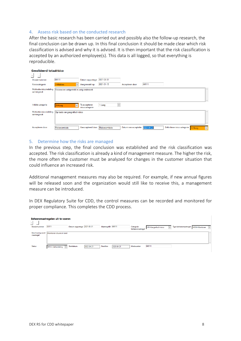#### 4. Assess risk based on the conducted research

After the basic research has been carried out and possibly also the follow-up research, the final conclusion can be drawn up. In this final conclusion it should be made clear which risk classification is advised and why it is advised. It is then important that the risk classification is accepted by an authorized employee(s). This data is all logged, so that everything is reproducible.

| <b>Gevalideerd totaalrisico</b>        |                                            |                                  |                  |                                 |       |                              |                      |
|----------------------------------------|--------------------------------------------|----------------------------------|------------------|---------------------------------|-------|------------------------------|----------------------|
| $+1$                                   |                                            |                                  |                  |                                 |       |                              |                      |
| Dossiernummer                          | D0111                                      | Datum rapportage                 | 2021-03-31       |                                 |       |                              |                      |
| Risicocategorie                        | 2-Midden<br>$\checkmark$                   | Aangemaakt op                    | 2021-01-15       | Accepteren door                 | A0111 |                              |                      |
| Motivatie risicoindeling<br>samengevat | Risicoscore vastgesteld in vorig onderzoek |                                  |                  |                                 |       |                              | $\curvearrowright$   |
|                                        |                                            |                                  |                  |                                 |       |                              | $\mathcal{M}$ .      |
| Initiële categorie                     | 3-Hoog<br>$\checkmark$                     | Te accepteren<br>risicocategorie | 1-Laag<br>$\vee$ |                                 |       |                              |                      |
| Motivatie risicoindeling<br>samengevat | Op basis van geografisch risico            |                                  |                  |                                 |       |                              | $\wedge$             |
|                                        |                                            |                                  |                  |                                 |       |                              | $\mathcal{A}$        |
| Accepteren door                        | Risicocomissie                             | Geaccepteerd door                | Risicocomissie   | Datum van acceptatie 2021-04-21 |       | Definitieve risico categorie | $3 - Hooq$<br>$\sim$ |

#### 5. Determine how the risks are managed

In the previous step, the final conclusion was established and the risk classification was accepted. The risk classification is already a kind of management measure. The higher the risk, the more often the customer must be analyzed for changes in the customer situation that could influence an increased risk.

Additional management measures may also be required. For example, if new annual figures will be released soon and the organization would still like to receive this, a management measure can be introduced.

In DEX Regulatory Suite for CDD, the control measures can be recorded and monitored for proper compliance. This completes the CDD process.

|                                        | Beheersmaatregelen uit te voeren |                             |            |                   |            |                               |                                               |                                     |  |            |  |  |
|----------------------------------------|----------------------------------|-----------------------------|------------|-------------------|------------|-------------------------------|-----------------------------------------------|-------------------------------------|--|------------|--|--|
| $\overline{a}$                         |                                  |                             |            |                   |            |                               |                                               |                                     |  |            |  |  |
| Dossiernummer                          | D0111                            | Datum rapportage 2021-03-31 |            | MaatregelID M0111 |            | Categorie<br>beheersmaatregel | <b>GRI-Geografisch risico</b><br>$\checkmark$ | Type beheersmaatregel MON-Monitoren |  | $\backsim$ |  |  |
| <b>Beschrijving soort</b><br>maatregel | Monitoren situarie in land       |                             |            |                   |            |                               |                                               |                                     |  | $\wedge$   |  |  |
|                                        |                                  |                             |            |                   |            |                               |                                               |                                     |  |            |  |  |
| <b>Status</b>                          | IBH-In behandeling               | Startdatum                  | 2022-04-21 | Deadline          | 2023-04-21 | Medewerker                    | M0111                                         |                                     |  |            |  |  |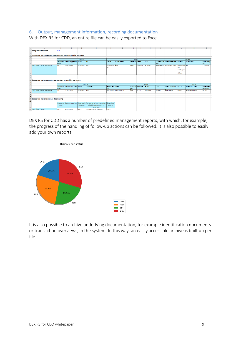#### 6. Output, management information, recording documentation

With DEX RS for CDD, an entire file can be easily exported to Excel.

|                                         | A                                                             | R                  | c                     | D            | F                                                                     | F                         | G                        | H               |                  |               | K             |                                          | M                                                              | $\mathsf{N}$               | $\circ$                   |
|-----------------------------------------|---------------------------------------------------------------|--------------------|-----------------------|--------------|-----------------------------------------------------------------------|---------------------------|--------------------------|-----------------|------------------|---------------|---------------|------------------------------------------|----------------------------------------------------------------|----------------------------|---------------------------|
|                                         | Scope onderzoek                                               | <b>TOC</b>         |                       |              |                                                                       |                           |                          |                 |                  |               |               |                                          |                                                                |                            |                           |
|                                         |                                                               |                    |                       |              |                                                                       |                           |                          |                 |                  |               |               |                                          |                                                                |                            |                           |
| 3                                       | Scope van het onderzoek - verbonden niet-natuurlijke personen |                    |                       |              |                                                                       |                           |                          |                 |                  |               |               |                                          |                                                                |                            |                           |
|                                         |                                                               |                    |                       |              |                                                                       |                           |                          |                 |                  |               |               |                                          |                                                                |                            |                           |
|                                         |                                                               |                    |                       | Dossier      |                                                                       |                           |                          | Adres           |                  |               |               |                                          |                                                                | Relatie                    |                           |
| 6                                       |                                                               | Dossiernu<br>Immer | Datum rapportage Naam |              | <b>KvK</b>                                                            | Straat                    | <b>Huisnummer</b>        | Postcode Plaats |                  | Land          | mer           | Telefoonnum Relatie tot cllient SBI-code |                                                                | Rechtsvorm                 | Risicocateg<br>lorie      |
| 7 <sup>7</sup>                          | D0111 2021-03-31 Painswick                                    | D0111              | 2021-03-31            | Painswick    | K0111                                                                 | Casa Verde 599<br>Dr      |                          | 2723L           | Seabrook         | <b>KUWAIT</b> |               | 4395764101 Associated party              | Markthand BV<br>el in<br>aardappele<br>n, groenten<br>en fruit |                            | 2-Midden                  |
| $\overline{\mathbf{8}}$                 |                                                               |                    |                       |              |                                                                       |                           |                          |                 |                  |               |               |                                          |                                                                |                            |                           |
| $\overline{9}$                          |                                                               |                    |                       |              |                                                                       |                           |                          |                 |                  |               |               |                                          |                                                                |                            |                           |
|                                         | 10 Scope van het onderzoek - verbonden natuurlijke personen   |                    |                       |              |                                                                       |                           |                          |                 |                  |               |               |                                          |                                                                |                            |                           |
|                                         |                                                               |                    |                       |              |                                                                       |                           |                          |                 |                  |               |               |                                          |                                                                |                            |                           |
| $\begin{array}{c} 11 \\ 12 \end{array}$ |                                                               |                    |                       | Dossier      |                                                                       |                           |                          |                 |                  | Adres         |               |                                          |                                                                | Relatie                    |                           |
| 13                                      |                                                               | Dossiernu<br>Immer | Datum rapportage Naam |              | <b>Voorletters</b>                                                    | Geboorteda Straat<br>ltum |                          | lmer            | Huisnum Postcode | Plaats        | Land          | Telefoonnummer                           | Functie                                                        | <b>Relatie tot cllient</b> | Bijbehoren<br>de entiteit |
| 14                                      | D0111 2021-03-31 Painswick                                    | D0111              | 2021-03-31            | Painswick KW |                                                                       |                           | 2021-02-28 Casa Verde Dr | 599             | 272SL            | Seabrook      | <b>KUWAIT</b> | 4395764101                               | F0111                                                          | <b>Associated party</b>    | <b>BO111</b>              |
|                                         |                                                               |                    |                       |              |                                                                       |                           |                          |                 |                  |               |               |                                          |                                                                |                            |                           |
| $\frac{15}{16}$                         |                                                               |                    |                       |              |                                                                       |                           |                          |                 |                  |               |               |                                          |                                                                |                            |                           |
|                                         | 17 Scope van het onderzoek - toelichting                      |                    |                       |              |                                                                       |                           |                          |                 |                  |               |               |                                          |                                                                |                            |                           |
| 18                                      |                                                               |                    |                       |              |                                                                       |                           |                          |                 |                  |               |               |                                          |                                                                |                            |                           |
|                                         |                                                               | Dossiernu          |                       |              | Datum rapportage Organisatie Aanleiding vertegenwoordigers Omgevingsf |                           |                          |                 |                  |               |               |                                          |                                                                |                            |                           |
| 19                                      |                                                               | mmer               |                       | structuur    | of UBOs meegenomen in<br>onderzoek                                    | actoren                   |                          |                 |                  |               |               |                                          |                                                                |                            |                           |
| 21                                      | 20 D0111 2021-03-31                                           | D0111              | 2021-03-31            | 00111        | LEIWNABCDEFGHUKLM80                                                   | 00111                     |                          |                 |                  |               |               |                                          |                                                                |                            |                           |

DEX RS for CDD has a number of predefined management reports, with which, for example, the progress of the handling of follow-up actions can be followed. It is also possible to easily add your own reports.



It is also possible to archive underlying documentation, for example identification documents or transaction overviews, in the system. In this way, an easily accessible archive is built up per file.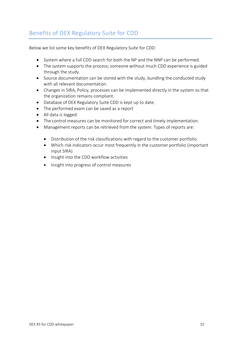# Benefits of DEX Regulatory Suite for CDD

Below we list some key benefits of DEX Regulatory Suite for CDD:

- System where a full CDD search for both the NP and the NNP can be performed.
- The system supports the process; someone without much CDD experience is guided through the study.
- Source documentation can be stored with the study, bundling the conducted study with all relevant documentation.
- Changes in SIRA, Policy, processes can be implemented directly in the system so that the organization remains compliant.
- Database of DEX Regulatory Suite CDD is kept up to date.
- The performed exam can be saved as a report
- All data is logged.
- The control measures can be monitored for correct and timely implementation.
- Management reports can be retrieved from the system. Types of reports are:
	- Distribution of the risk classifications with regard to the customer portfolio
	- Which risk indicators occur most frequently in the customer portfolio (important input SIRA)
	- Insight into the CDD workflow activities
	- Insight into progress of control measures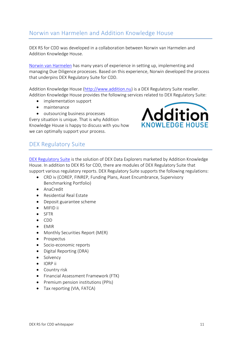## Norwin van Harmelen and Addition Knowledge House

DEX RS for CDD was developed in a collaboration between Norwin van Harmelen and Addition Knowledge House.

[Norwin van Harmelen](https://www.linkedin.com/in/drs-norwin-van-harmelen-531101a/) has many years of experience in setting up, implementing and managing Due Diligence processes. Based on this experience, Norwin developed the process that underpins DEX Regulatory Suite for CDD.

Addition Knowledge House [\(http://www.addition.nu\)](http://www.addition.nu/) is a DEX Regulatory Suite reseller. Addition Knowledge House provides the following services related to DEX Regulatory Suite:

- implementation support
- maintenance
- outsourcing business processes

Every situation is unique. That is why Addition Knowledge House is happy to discuss with you how we can optimally support your process.



## DEX Regulatory Suite

[DEX Regulatory Suite](http://www.dexregulatorysuite.com/) is the solution of DEX Data Explorers marketed by Addition Knowledge House. In addition to DEX RS for CDD, there are modules of DEX Regulatory Suite that support various regulatory reports. DEX Regulatory Suite supports the following regulations:

- CRD iv (COREP, FINREP, Funding Plans, Asset Encumbrance, Supervisory Benchmarking Portfolio)
- AnaCredit
- Residential Real Estate
- Deposit guarantee scheme
- MIFID ii
- SFTR
- CDD
- EMIR
- Monthly Securities Report (MER)
- Prospectus
- Socio-economic reports
- Digital Reporting (DRA)
- Solvency
- IORP ii
- Country risk
- Financial Assessment Framework (FTK)
- Premium pension institutions (PPIs)
- Tax reporting (VIA, FATCA)